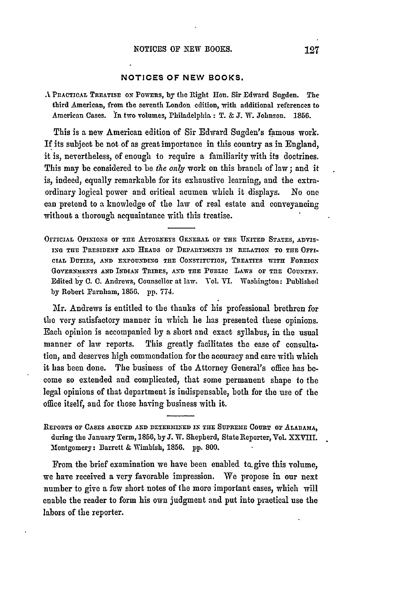## **NOTICES** OF **NEW** BOOKS.

A PRACTICAL TREATIsE **ON PowERs, by** the Right Hon. Sir Edward Sugden. The third American, from the seventh London edition, with additional references to American Cases. In two volumes, Philadelphia: T. & *3.* W. Johnson. **1856.**

This is a new American edition of Sir Edward Sugden's famous work. If its subject be not of as great importance in this country as in England, it is, nevertheless, of enough to require a familiarity with its doctrines. This may be considered to be *the only* work on this branch of law; and it is, indeed, equally remarkable for its exhaustive learning, and the extraordinary logical power and critical acumen which it displays. No one can pretend to a knowledge of the law of real estate and conveyancing without a thorough acquaintance with this treatise.

OFFICIAL OPINIONS OF THE ATTORNEYS GENERAL OF THE UNITED STATES, ADVIS-**ING THlE** PRESIDENT **AND** HEADS or DEPARTxENTS **IN** RELATION TO THE OFI-**CIAL DUTIES, AND EXPOUNDING THE** CONSTITUTION, TREATIES WITH FOREIGN GOVERNMENTS AND INDIAN TRIBES, AND THE PUBLIC LAWS OF THE COUNTRY. Edited **by C. C.** Andrews, Counsellor at law. Vol. VI. **Washington: Published by** Robert Farnham, **1856. pp. 774.**

Mr. Andrews is entitled to the thanks of his professional brethren for the very satisfactory manner in which he has presented these opinions. Each opinion is accompanied by a short and exact syllabus, in the usual manner of law reports. This greatly facilitates the ease of consultation, and deserves high commendation for the accuracy and care with which it has been done. The business of the Attorney General's office has **be**come so extended and complicated, that some permanent shape to the legal opinions of that department is indispensable, both for the use of the office itself, and for those having business with it.

From the brief examination we have been enabled to.give this volume, we have received a very favorable impression. We propose in our next number to give a few short notes of the more important cases, which will enable the reader to form his own judgment and put into practical use the labors of the reporter.

IEPORTS **OF CASES ARGUED AND** DETERMINED **IN THE** SUPREME COURT **or ALABAMA,** during the January Term, **1856, by J. W.** Shepherd, State Reporter, Vol. XXVIII. Montgomery: Barrett & Wimbish, **1856. pp. 800.**